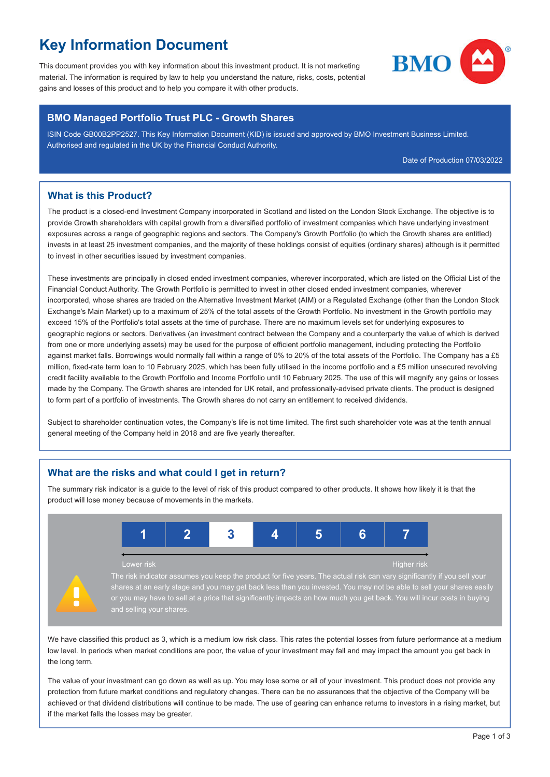# **Key Information Document**

This document provides you with key information about this investment product. It is not marketing material. The information is required by law to help you understand the nature, risks, costs, potential gains and losses of this product and to help you compare it with other products.



#### **BMO Managed Portfolio Trust PLC - Growth Shares**

ISIN Code GB00B2PP2527. This Key Information Document (KID) is issued and approved by BMO Investment Business Limited. Authorised and regulated in the UK by the Financial Conduct Authority.

Date of Production 07/03/2022

#### **What is this Product?**

The product is a closed-end Investment Company incorporated in Scotland and listed on the London Stock Exchange. The objective is to provide Growth shareholders with capital growth from a diversified portfolio of investment companies which have underlying investment exposures across a range of geographic regions and sectors. The Company's Growth Portfolio (to which the Growth shares are entitled) invests in at least 25 investment companies, and the majority of these holdings consist of equities (ordinary shares) although is it permitted to invest in other securities issued by investment companies.

These investments are principally in closed ended investment companies, wherever incorporated, which are listed on the Official List of the Financial Conduct Authority. The Growth Portfolio is permitted to invest in other closed ended investment companies, wherever incorporated, whose shares are traded on the Alternative Investment Market (AIM) or a Regulated Exchange (other than the London Stock Exchange's Main Market) up to a maximum of 25% of the total assets of the Growth Portfolio. No investment in the Growth portfolio may exceed 15% of the Portfolio's total assets at the time of purchase. There are no maximum levels set for underlying exposures to geographic regions or sectors. Derivatives (an investment contract between the Company and a counterparty the value of which is derived from one or more underlying assets) may be used for the purpose of efficient portfolio management, including protecting the Portfolio against market falls. Borrowings would normally fall within a range of 0% to 20% of the total assets of the Portfolio. The Company has a £5 million, fixed-rate term loan to 10 February 2025, which has been fully utilised in the income portfolio and a £5 million unsecured revolving credit facility available to the Growth Portfolio and Income Portfolio until 10 February 2025. The use of this will magnify any gains or losses made by the Company. The Growth shares are intended for UK retail, and professionally-advised private clients. The product is designed to form part of a portfolio of investments. The Growth shares do not carry an entitlement to received dividends.

Subject to shareholder continuation votes, the Company's life is not time limited. The first such shareholder vote was at the tenth annual general meeting of the Company held in 2018 and are five yearly thereafter.

## **What are the risks and what could I get in return?**

The summary risk indicator is a guide to the level of risk of this product compared to other products. It shows how likely it is that the product will lose money because of movements in the markets.



We have classified this product as 3, which is a medium low risk class. This rates the potential losses from future performance at a medium low level. In periods when market conditions are poor, the value of your investment may fall and may impact the amount you get back in the long term.

The value of your investment can go down as well as up. You may lose some or all of your investment. This product does not provide any protection from future market conditions and regulatory changes. There can be no assurances that the objective of the Company will be achieved or that dividend distributions will continue to be made. The use of gearing can enhance returns to investors in a rising market, but if the market falls the losses may be greater.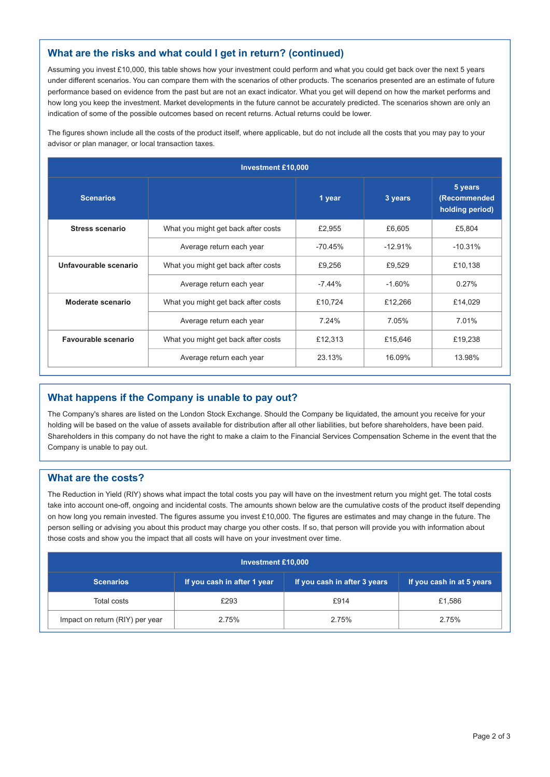## **What are the risks and what could I get in return? (continued)**

Assuming you invest £10,000, this table shows how your investment could perform and what you could get back over the next 5 years under different scenarios. You can compare them with the scenarios of other products. The scenarios presented are an estimate of future performance based on evidence from the past but are not an exact indicator. What you get will depend on how the market performs and how long you keep the investment. Market developments in the future cannot be accurately predicted. The scenarios shown are only an indication of some of the possible outcomes based on recent returns. Actual returns could be lower.

The figures shown include all the costs of the product itself, where applicable, but do not include all the costs that you may pay to your advisor or plan manager, or local transaction taxes.

| <b>Investment £10,000</b> |                                     |           |           |                                            |  |  |  |
|---------------------------|-------------------------------------|-----------|-----------|--------------------------------------------|--|--|--|
| <b>Scenarios</b>          |                                     | 1 year    | 3 years   | 5 years<br>(Recommended<br>holding period) |  |  |  |
| <b>Stress scenario</b>    | What you might get back after costs | £2,955    | £6,605    | £5,804                                     |  |  |  |
|                           | Average return each year            | $-70.45%$ | $-12.91%$ | $-10.31%$                                  |  |  |  |
| Unfavourable scenario     | What you might get back after costs | £9,256    | £9,529    | £10,138                                    |  |  |  |
|                           | Average return each year            | $-7.44%$  | $-1.60%$  | 0.27%                                      |  |  |  |
| Moderate scenario         | What you might get back after costs | £10,724   | £12,266   | £14,029                                    |  |  |  |
|                           | Average return each year            | 7.24%     | 7.05%     | 7.01%                                      |  |  |  |
| Favourable scenario       | What you might get back after costs | £12,313   | £15,646   | £19,238                                    |  |  |  |
|                           | Average return each year            | 23.13%    | 16.09%    | 13.98%                                     |  |  |  |

## **What happens if the Company is unable to pay out?**

The Company's shares are listed on the London Stock Exchange. Should the Company be liquidated, the amount you receive for your holding will be based on the value of assets available for distribution after all other liabilities, but before shareholders, have been paid. Shareholders in this company do not have the right to make a claim to the Financial Services Compensation Scheme in the event that the Company is unable to pay out.

#### **What are the costs?**

The Reduction in Yield (RIY) shows what impact the total costs you pay will have on the investment return you might get. The total costs take into account one-off, ongoing and incidental costs. The amounts shown below are the cumulative costs of the product itself depending on how long you remain invested. The figures assume you invest £10,000. The figures are estimates and may change in the future. The person selling or advising you about this product may charge you other costs. If so, that person will provide you with information about those costs and show you the impact that all costs will have on your investment over time.

| <b>Investment £10,000</b>       |                             |                              |                           |  |  |  |
|---------------------------------|-----------------------------|------------------------------|---------------------------|--|--|--|
| <b>Scenarios</b>                | If you cash in after 1 year | If you cash in after 3 years | If you cash in at 5 years |  |  |  |
| Total costs                     | £293                        | £914                         | £1,586                    |  |  |  |
| Impact on return (RIY) per year | 2.75%                       |                              | 2.75%                     |  |  |  |